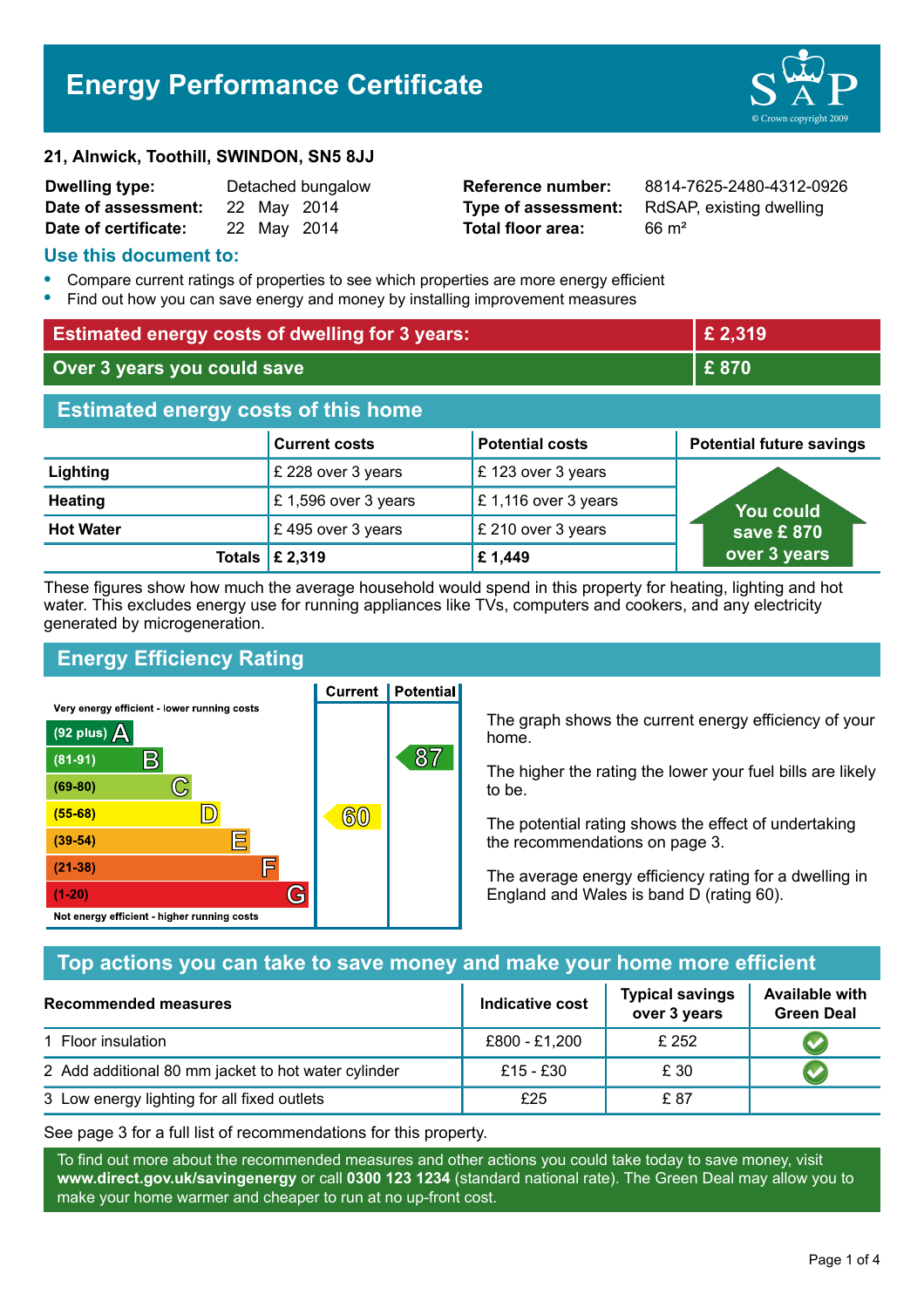# **Energy Performance Certificate**

#### **21, Alnwick, Toothill, SWINDON, SN5 8JJ**

| <b>Dwelling type:</b> |             | Detached bungalow |
|-----------------------|-------------|-------------------|
| Date of assessment:   | 22 May 2014 |                   |
| Date of certificate:  |             | 22 May 2014       |

# **Total floor area:** 66 m<sup>2</sup>

**Reference number:** 8814-7625-2480-4312-0926 **Type of assessment:** RdSAP, existing dwelling

#### **Use this document to:**

- **•** Compare current ratings of properties to see which properties are more energy efficient
- **•** Find out how you can save energy and money by installing improvement measures

| <b>Estimated energy costs of dwelling for 3 years:</b> |                                 | £ 2,319                |                                 |  |
|--------------------------------------------------------|---------------------------------|------------------------|---------------------------------|--|
| Over 3 years you could save                            |                                 | £870                   |                                 |  |
| <b>Estimated energy costs of this home</b>             |                                 |                        |                                 |  |
|                                                        | <b>Current costs</b>            | <b>Potential costs</b> | <b>Potential future savings</b> |  |
| Lighting                                               | £ 228 over 3 years              | £123 over 3 years      |                                 |  |
| <b>Heating</b>                                         | £1,596 over 3 years             | £1,116 over 3 years    | You could                       |  |
| <b>Hot Water</b>                                       | £495 over 3 years               | £ 210 over 3 years     | save £ 870                      |  |
|                                                        | Totals $\mathbf \epsilon$ 2,319 | £1,449                 | over 3 years                    |  |

These figures show how much the average household would spend in this property for heating, lighting and hot water. This excludes energy use for running appliances like TVs, computers and cookers, and any electricity generated by microgeneration.

**Current | Potential** 

# **Energy Efficiency Rating**

Very energy efficient - lower running costs



The graph shows the current energy efficiency of your home.

The higher the rating the lower your fuel bills are likely to be.

The potential rating shows the effect of undertaking the recommendations on page 3.

The average energy efficiency rating for a dwelling in England and Wales is band D (rating 60).

# **Top actions you can take to save money and make your home more efficient**

| <b>Recommended measures</b>                         | Indicative cost | <b>Typical savings</b><br>over 3 years | <b>Available with</b><br><b>Green Deal</b> |
|-----------------------------------------------------|-----------------|----------------------------------------|--------------------------------------------|
| 1 Floor insulation                                  | £800 - £1,200   | £252                                   |                                            |
| 2 Add additional 80 mm jacket to hot water cylinder | £15 - £30       | £ 30                                   |                                            |
| 3 Low energy lighting for all fixed outlets         | £25             | £ 87                                   |                                            |

See page 3 for a full list of recommendations for this property.

To find out more about the recommended measures and other actions you could take today to save money, visit **www.direct.gov.uk/savingenergy** or call **0300 123 1234** (standard national rate). The Green Deal may allow you to make your home warmer and cheaper to run at no up-front cost.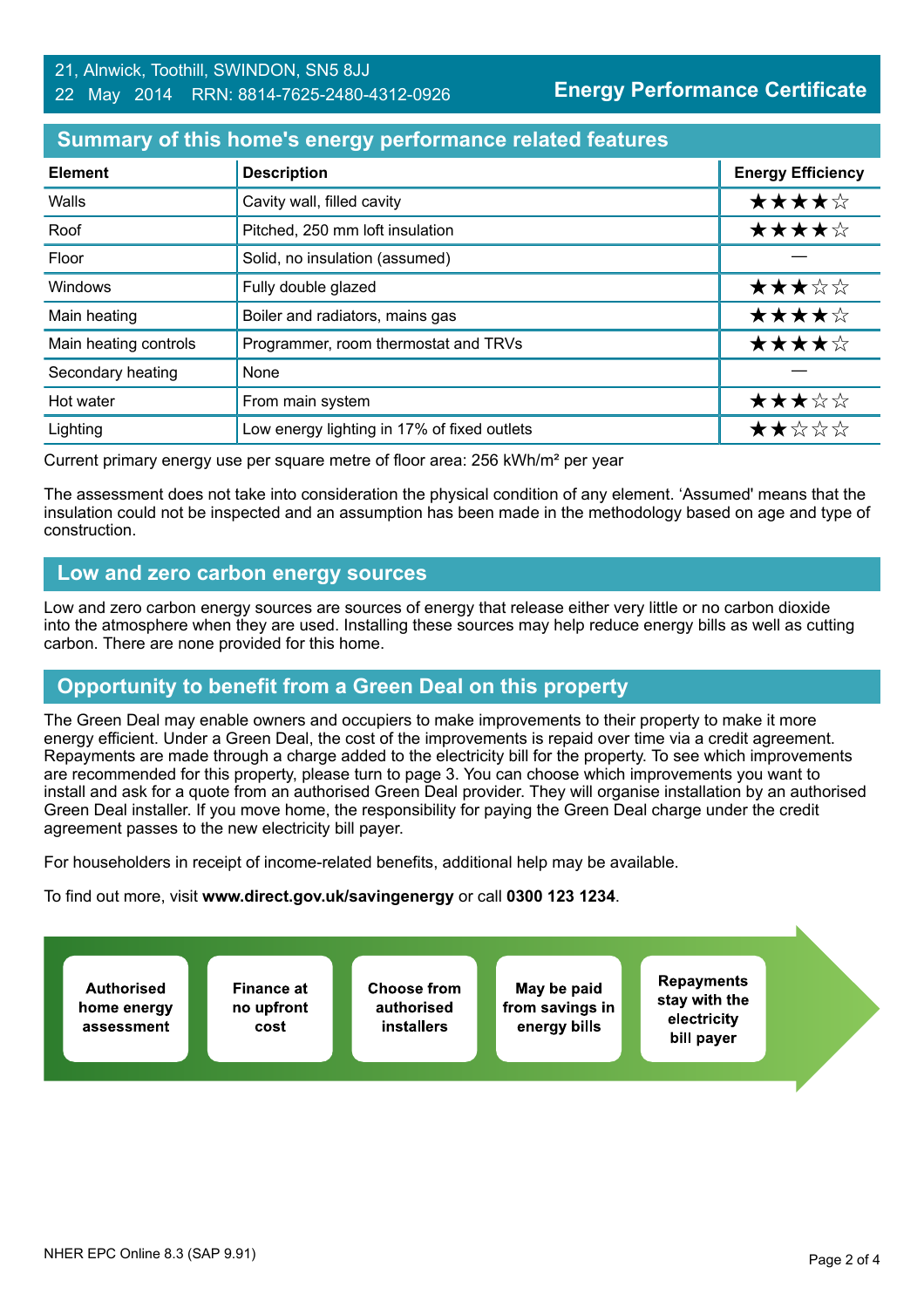#### 21, Alnwick, Toothill, SWINDON, SN5 8JJ 22 May 2014 RRN: 8814-7625-2480-4312-0926

**Energy Performance Certificate**

#### **Summary of this home's energy performance related features**

| <b>Element</b>        | <b>Description</b>                          | <b>Energy Efficiency</b> |
|-----------------------|---------------------------------------------|--------------------------|
| Walls                 | Cavity wall, filled cavity                  | ★★★★☆                    |
| Roof                  | Pitched, 250 mm loft insulation             | ★★★★☆                    |
| Floor                 | Solid, no insulation (assumed)              |                          |
| Windows               | Fully double glazed                         | ★★★☆☆                    |
| Main heating          | Boiler and radiators, mains gas             | ★★★★☆                    |
| Main heating controls | Programmer, room thermostat and TRVs        | ★★★★☆                    |
| Secondary heating     | None                                        |                          |
| Hot water             | From main system                            | ★★★☆☆                    |
| Lighting              | Low energy lighting in 17% of fixed outlets | ★★☆☆☆                    |

Current primary energy use per square metre of floor area: 256 kWh/m² per year

The assessment does not take into consideration the physical condition of any element. 'Assumed' means that the insulation could not be inspected and an assumption has been made in the methodology based on age and type of construction.

## **Low and zero carbon energy sources**

Low and zero carbon energy sources are sources of energy that release either very little or no carbon dioxide into the atmosphere when they are used. Installing these sources may help reduce energy bills as well as cutting carbon. There are none provided for this home.

# **Opportunity to benefit from a Green Deal on this property**

The Green Deal may enable owners and occupiers to make improvements to their property to make it more energy efficient. Under a Green Deal, the cost of the improvements is repaid over time via a credit agreement. Repayments are made through a charge added to the electricity bill for the property. To see which improvements are recommended for this property, please turn to page 3. You can choose which improvements you want to install and ask for a quote from an authorised Green Deal provider. They will organise installation by an authorised Green Deal installer. If you move home, the responsibility for paying the Green Deal charge under the credit agreement passes to the new electricity bill payer.

For householders in receipt of income-related benefits, additional help may be available.

To find out more, visit **www.direct.gov.uk/savingenergy** or call **0300 123 1234**.

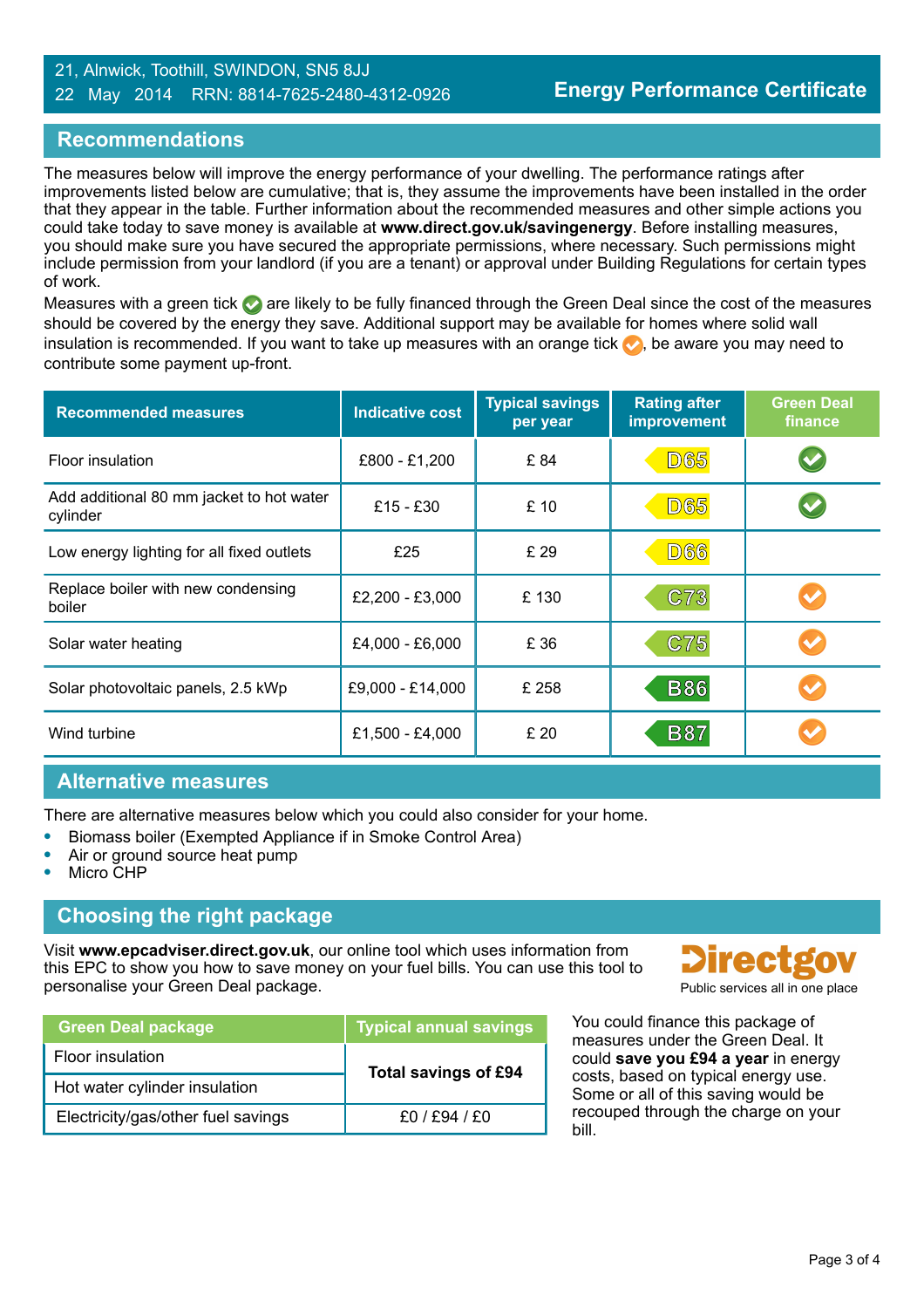#### 21, Alnwick, Toothill, SWINDON, SN5 8JJ 22 May 2014 RRN: 8814-7625-2480-4312-0926

## **Recommendations**

The measures below will improve the energy performance of your dwelling. The performance ratings after improvements listed below are cumulative; that is, they assume the improvements have been installed in the order that they appear in the table. Further information about the recommended measures and other simple actions you could take today to save money is available at **www.direct.gov.uk/savingenergy**. Before installing measures, you should make sure you have secured the appropriate permissions, where necessary. Such permissions might include permission from your landlord (if you are a tenant) or approval under Building Regulations for certain types of work.

Measures with a green tick  $\bullet$  are likely to be fully financed through the Green Deal since the cost of the measures should be covered by the energy they save. Additional support may be available for homes where solid wall insulation is recommended. If you want to take up measures with an orange tick  $\blacklozenge$ , be aware you may need to contribute some payment up-front.

| <b>Recommended measures</b>                          | <b>Indicative cost</b> | <b>Typical savings</b><br>per year | <b>Rating after</b><br>improvement | <b>Green Deal</b><br>finance |
|------------------------------------------------------|------------------------|------------------------------------|------------------------------------|------------------------------|
| <b>Floor insulation</b>                              | £800 - £1,200          | £84                                | <b>D65</b>                         |                              |
| Add additional 80 mm jacket to hot water<br>cylinder | $£15 - £30$            | £10                                | <b>D65</b>                         |                              |
| Low energy lighting for all fixed outlets            | £25                    | £ 29                               | <b>D66</b>                         |                              |
| Replace boiler with new condensing<br>boiler         | £2,200 - £3,000        | £130                               | C73                                |                              |
| Solar water heating                                  | £4,000 - £6,000        | £ 36                               | C75                                |                              |
| Solar photovoltaic panels, 2.5 kWp                   | £9,000 - £14,000       | £ 258                              | <b>B86</b>                         |                              |
| Wind turbine                                         | £1,500 - £4,000        | £ 20                               | <b>B87</b>                         |                              |

#### **Alternative measures**

There are alternative measures below which you could also consider for your home.

- **•** Biomass boiler (Exempted Appliance if in Smoke Control Area)
- **•** Air or ground source heat pump
- **•** Micro CHP

# **Choosing the right package**

Visit **www.epcadviser.direct.gov.uk**, our online tool which uses information from this EPC to show you how to save money on your fuel bills. You can use this tool to personalise your Green Deal package. **Public services all in one place** part of the place of the place of the place

| <b>Green Deal package</b>          | <b>Typical annual savings</b> |  |
|------------------------------------|-------------------------------|--|
| Floor insulation                   | <b>Total savings of £94</b>   |  |
| Hot water cylinder insulation      |                               |  |
| Electricity/gas/other fuel savings | £0/£94/£0                     |  |



You could finance this package of measures under the Green Deal. It could **save you £94 a year** in energy costs, based on typical energy use. Some or all of this saving would be recouped through the charge on your bill.